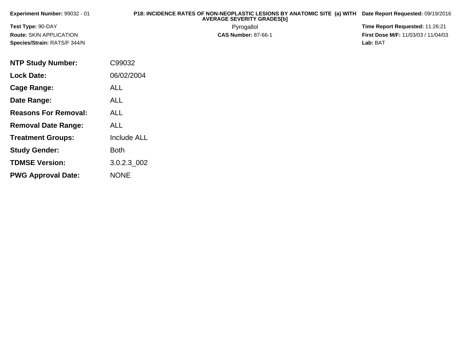| Experiment Number: 99032 - 01  | P18: INCIDENCE RATES OF NON-NEOPLASTIC LESIONS BY ANATOMIC SITE (a) WITH<br><b>AVERAGE SEVERITY GRADES[b]</b> | Date Report Requested: 09/19/2016          |
|--------------------------------|---------------------------------------------------------------------------------------------------------------|--------------------------------------------|
| <b>Test Type: 90-DAY</b>       | Pyrogallol                                                                                                    | Time Report Requested: 11:26:21            |
| <b>Route: SKIN APPLICATION</b> | <b>CAS Number: 87-66-1</b>                                                                                    | <b>First Dose M/F: 11/03/03 / 11/04/03</b> |
| Species/Strain: RATS/F 344/N   |                                                                                                               | Lab: BAT                                   |
|                                |                                                                                                               |                                            |
| <b>NTP Study Number:</b>       | C99032                                                                                                        |                                            |
| <b>Lock Date:</b>              | 06/02/2004                                                                                                    |                                            |

**Cage Range:**

**Date Range:**

**Reasons For Removal:**

**Removal Date Range:**

**Treatment Groups:**

**Study Gender:**

**TDMSE Version:**

**PWG Approval Date:**

ALL

ALL

ALL

ALL

Both

NONE

Include ALL

3.0.2.3\_002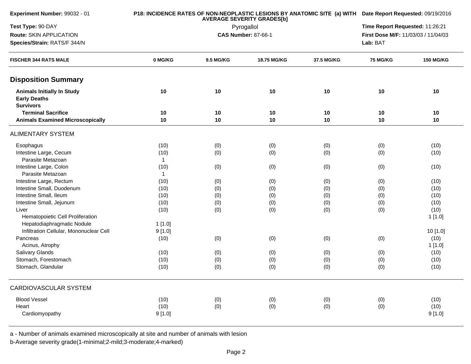| Experiment Number: 99032 - 01                                                |              | <b>AVERAGE SEVERITY GRADES[b]</b> | P18: INCIDENCE RATES OF NON-NEOPLASTIC LESIONS BY ANATOMIC SITE (a) WITH Date Report Requested: 09/19/2016 |            |                                     |                                 |  |
|------------------------------------------------------------------------------|--------------|-----------------------------------|------------------------------------------------------------------------------------------------------------|------------|-------------------------------------|---------------------------------|--|
| Test Type: 90-DAY                                                            |              |                                   | Pyrogallol                                                                                                 |            |                                     | Time Report Requested: 11:26:21 |  |
| Route: SKIN APPLICATION                                                      |              |                                   | <b>CAS Number: 87-66-1</b>                                                                                 |            | First Dose M/F: 11/03/03 / 11/04/03 |                                 |  |
| Species/Strain: RATS/F 344/N                                                 |              |                                   | Lab: BAT                                                                                                   |            |                                     |                                 |  |
| <b>FISCHER 344 RATS MALE</b>                                                 | 0 MG/KG      | 9.5 MG/KG                         | 18.75 MG/KG                                                                                                | 37.5 MG/KG | <b>75 MG/KG</b>                     | <b>150 MG/KG</b>                |  |
| <b>Disposition Summary</b>                                                   |              |                                   |                                                                                                            |            |                                     |                                 |  |
| <b>Animals Initially In Study</b><br><b>Early Deaths</b><br><b>Survivors</b> | 10           | 10                                | 10                                                                                                         | 10         | 10                                  | 10                              |  |
| <b>Terminal Sacrifice</b>                                                    | 10           | 10                                | 10                                                                                                         | 10         | 10                                  | 10                              |  |
| <b>Animals Examined Microscopically</b>                                      | 10           | 10                                | 10                                                                                                         | 10         | 10                                  | 10                              |  |
| <b>ALIMENTARY SYSTEM</b>                                                     |              |                                   |                                                                                                            |            |                                     |                                 |  |
| Esophagus                                                                    | (10)         | (0)                               | (0)                                                                                                        | (0)        | (0)                                 | (10)                            |  |
| Intestine Large, Cecum                                                       | (10)         | (0)                               | (0)                                                                                                        | (0)        | (0)                                 | (10)                            |  |
| Parasite Metazoan                                                            | $\mathbf{1}$ |                                   |                                                                                                            |            |                                     |                                 |  |
| Intestine Large, Colon                                                       | (10)         | (0)                               | (0)                                                                                                        | (0)        | (0)                                 | (10)                            |  |
| Parasite Metazoan                                                            | $\mathbf{1}$ |                                   |                                                                                                            |            |                                     |                                 |  |
| Intestine Large, Rectum                                                      | (10)         | (0)                               | (0)                                                                                                        | (0)        | (0)                                 | (10)                            |  |
| Intestine Small, Duodenum                                                    | (10)         | (0)                               | (0)                                                                                                        | (0)        | (0)                                 | (10)                            |  |
| Intestine Small, Ileum                                                       | (10)         | (0)                               | (0)                                                                                                        | (0)        | (0)                                 | (10)                            |  |
| Intestine Small, Jejunum                                                     | (10)         | (0)                               | (0)                                                                                                        | (0)        | (0)                                 | (10)                            |  |
| Liver                                                                        | (10)         | (0)                               | (0)                                                                                                        | (0)        | (0)                                 | (10)                            |  |
| Hematopoietic Cell Proliferation                                             |              |                                   |                                                                                                            |            |                                     | 1 [1.0]                         |  |
| Hepatodiaphragmatic Nodule                                                   | 1[1.0]       |                                   |                                                                                                            |            |                                     |                                 |  |
| Infiltration Cellular, Mononuclear Cell                                      | 9[1.0]       |                                   |                                                                                                            |            |                                     | 10 [1.0]                        |  |
| Pancreas                                                                     | (10)         | (0)                               | (0)                                                                                                        | (0)        | (0)                                 | (10)                            |  |
| Acinus, Atrophy                                                              |              |                                   |                                                                                                            |            |                                     | 1[1.0]                          |  |
| <b>Salivary Glands</b>                                                       | (10)         | (0)                               | (0)                                                                                                        | (0)        | (0)                                 | (10)                            |  |
| Stomach, Forestomach                                                         | (10)         | (0)                               | (0)                                                                                                        | (0)        | (0)                                 | (10)                            |  |
| Stomach, Glandular                                                           | (10)         | (0)                               | (0)                                                                                                        | (0)        | (0)                                 | (10)                            |  |
| CARDIOVASCULAR SYSTEM                                                        |              |                                   |                                                                                                            |            |                                     |                                 |  |
| <b>Blood Vessel</b>                                                          | (10)         | (0)                               | (0)                                                                                                        | (0)        | (0)                                 | (10)                            |  |
| Heart                                                                        | (10)         | (0)                               | (0)                                                                                                        | (0)        | (0)                                 | (10)                            |  |
| Cardiomyopathy                                                               | 9[1.0]       |                                   |                                                                                                            |            |                                     | 9[1.0]                          |  |
|                                                                              |              |                                   |                                                                                                            |            |                                     |                                 |  |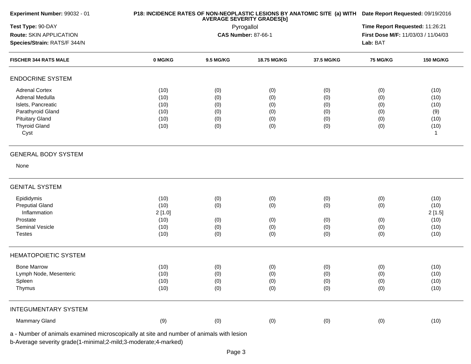| Test Type: 90-DAY<br>Route: SKIN APPLICATION<br>Species/Strain: RATS/F 344/N |                            |           | <b>AVERAGE SEVERITY GRADES[b]</b><br>Pyrogallol |            |                                     |                  |  |  |
|------------------------------------------------------------------------------|----------------------------|-----------|-------------------------------------------------|------------|-------------------------------------|------------------|--|--|
|                                                                              |                            |           |                                                 |            | Time Report Requested: 11:26:21     |                  |  |  |
|                                                                              | <b>CAS Number: 87-66-1</b> |           |                                                 |            | First Dose M/F: 11/03/03 / 11/04/03 |                  |  |  |
|                                                                              |                            |           |                                                 |            | Lab: BAT                            |                  |  |  |
| <b>FISCHER 344 RATS MALE</b>                                                 | 0 MG/KG                    | 9.5 MG/KG | 18.75 MG/KG                                     | 37.5 MG/KG | <b>75 MG/KG</b>                     | <b>150 MG/KG</b> |  |  |
| <b>ENDOCRINE SYSTEM</b>                                                      |                            |           |                                                 |            |                                     |                  |  |  |
| <b>Adrenal Cortex</b>                                                        | (10)                       | (0)       | (0)                                             | (0)        | (0)                                 | (10)             |  |  |
| Adrenal Medulla                                                              | (10)                       | (0)       | (0)                                             | (0)        | (0)                                 | (10)             |  |  |
| Islets, Pancreatic                                                           | (10)                       | (0)       | (0)                                             | (0)        | (0)                                 | (10)             |  |  |
| Parathyroid Gland                                                            | (10)                       | (0)       | (0)                                             | (0)        | (0)                                 | (9)              |  |  |
| <b>Pituitary Gland</b>                                                       | (10)                       | (0)       | (0)                                             | (0)        | (0)                                 | (10)             |  |  |
| <b>Thyroid Gland</b>                                                         | (10)                       | (0)       | (0)                                             | (0)        | (0)                                 | (10)             |  |  |
| Cyst                                                                         |                            |           |                                                 |            |                                     | $\mathbf{1}$     |  |  |
| <b>GENERAL BODY SYSTEM</b>                                                   |                            |           |                                                 |            |                                     |                  |  |  |
| None                                                                         |                            |           |                                                 |            |                                     |                  |  |  |
| <b>GENITAL SYSTEM</b>                                                        |                            |           |                                                 |            |                                     |                  |  |  |
| Epididymis                                                                   | (10)                       | (0)       | (0)                                             | (0)        | (0)                                 | (10)             |  |  |
| <b>Preputial Gland</b>                                                       | (10)                       | (0)       | (0)                                             | (0)        | (0)                                 | (10)             |  |  |
| Inflammation                                                                 | 2[1.0]                     |           |                                                 |            |                                     | 2[1.5]           |  |  |
| Prostate                                                                     | (10)                       | (0)       | (0)                                             | (0)        | (0)                                 | (10)             |  |  |
| Seminal Vesicle                                                              | (10)                       | (0)       | (0)                                             | (0)        | (0)                                 | (10)             |  |  |
| <b>Testes</b>                                                                | (10)                       | (0)       | (0)                                             | (0)        | (0)                                 | (10)             |  |  |
| <b>HEMATOPOIETIC SYSTEM</b>                                                  |                            |           |                                                 |            |                                     |                  |  |  |
| <b>Bone Marrow</b>                                                           | (10)                       | (0)       | (0)                                             | (0)        | (0)                                 | (10)             |  |  |
| Lymph Node, Mesenteric                                                       | (10)                       | (0)       | (0)                                             | (0)        | (0)                                 | (10)             |  |  |
| Spleen                                                                       | (10)                       | (0)       | (0)                                             | (0)        | (0)                                 | (10)             |  |  |
| Thymus                                                                       | (10)                       | (0)       | (0)                                             | (0)        | (0)                                 | (10)             |  |  |
| <b>INTEGUMENTARY SYSTEM</b>                                                  |                            |           |                                                 |            |                                     |                  |  |  |
| Mammary Gland                                                                | (9)                        | (0)       | (0)                                             | (0)        | (0)                                 | (10)             |  |  |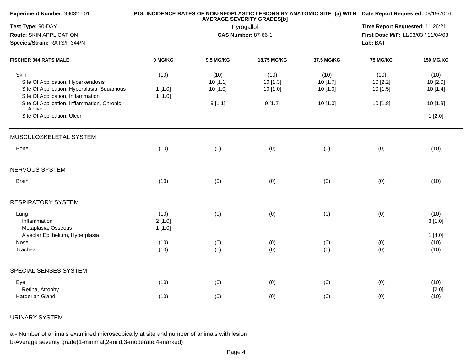| Experiment Number: 99032 - 01                        |         | <b>AVERAGE SEVERITY GRADES[b]</b> | P18: INCIDENCE RATES OF NON-NEOPLASTIC LESIONS BY ANATOMIC SITE (a) WITH Date Report Requested: 09/19/2016 |                                 |                                     |                  |  |
|------------------------------------------------------|---------|-----------------------------------|------------------------------------------------------------------------------------------------------------|---------------------------------|-------------------------------------|------------------|--|
| Test Type: 90-DAY                                    |         | Pyrogallol                        |                                                                                                            | Time Report Requested: 11:26:21 |                                     |                  |  |
| Route: SKIN APPLICATION                              |         |                                   | <b>CAS Number: 87-66-1</b>                                                                                 |                                 | First Dose M/F: 11/03/03 / 11/04/03 |                  |  |
| Species/Strain: RATS/F 344/N                         |         |                                   |                                                                                                            | Lab: BAT                        |                                     |                  |  |
| <b>FISCHER 344 RATS MALE</b>                         | 0 MG/KG | 9.5 MG/KG                         | 18.75 MG/KG                                                                                                | 37.5 MG/KG                      | <b>75 MG/KG</b>                     | <b>150 MG/KG</b> |  |
| Skin                                                 | (10)    | (10)                              | (10)                                                                                                       | (10)                            | (10)                                | (10)             |  |
| Site Of Application, Hyperkeratosis                  |         | 10[1.1]                           | 10 [1.3]                                                                                                   | 10 [1.7]                        | 10[2.2]                             | 10 [2.0]         |  |
| Site Of Application, Hyperplasia, Squamous           | 1[1.0]  | 10[1.0]                           | 10[1.0]                                                                                                    | 10[1.0]                         | 10[1.5]                             | 10[1.4]          |  |
| Site Of Application, Inflammation                    | 1[1.0]  |                                   |                                                                                                            |                                 |                                     |                  |  |
| Site Of Application, Inflammation, Chronic<br>Active |         | 9[1.1]                            | 9[1.2]                                                                                                     | 10 [1.0]                        | 10 [1.8]                            | 10 [1.9]         |  |
| Site Of Application, Ulcer                           |         |                                   |                                                                                                            |                                 |                                     | 1[2.0]           |  |
| MUSCULOSKELETAL SYSTEM                               |         |                                   |                                                                                                            |                                 |                                     |                  |  |
| Bone                                                 | (10)    | (0)                               | (0)                                                                                                        | (0)                             | (0)                                 | (10)             |  |
| NERVOUS SYSTEM                                       |         |                                   |                                                                                                            |                                 |                                     |                  |  |
| <b>Brain</b>                                         | (10)    | (0)                               | (0)                                                                                                        | (0)                             | (0)                                 | (10)             |  |
| <b>RESPIRATORY SYSTEM</b>                            |         |                                   |                                                                                                            |                                 |                                     |                  |  |
| Lung                                                 | (10)    | (0)                               | (0)                                                                                                        | (0)                             | (0)                                 | (10)             |  |
| Inflammation                                         | 2[1.0]  |                                   |                                                                                                            |                                 |                                     | 3[1.0]           |  |
| Metaplasia, Osseous                                  | 1[1.0]  |                                   |                                                                                                            |                                 |                                     |                  |  |
| Alveolar Epithelium, Hyperplasia                     |         |                                   |                                                                                                            |                                 |                                     | 1[4.0]           |  |
| Nose                                                 | (10)    | (0)                               | (0)                                                                                                        | (0)                             | (0)                                 | (10)             |  |
| Trachea                                              | (10)    | (0)                               | (0)                                                                                                        | (0)                             | (0)                                 | (10)             |  |
| SPECIAL SENSES SYSTEM                                |         |                                   |                                                                                                            |                                 |                                     |                  |  |
| Eye                                                  | (10)    | (0)                               | (0)                                                                                                        | (0)                             | (0)                                 | (10)             |  |
| Retina, Atrophy                                      |         |                                   |                                                                                                            |                                 |                                     | 1[2.0]           |  |
| Harderian Gland                                      | (10)    | (0)                               | (0)                                                                                                        | (0)                             | (0)                                 | (10)             |  |
|                                                      |         |                                   |                                                                                                            |                                 |                                     |                  |  |

URINARY SYSTEM

a - Number of animals examined microscopically at site and number of animals with lesion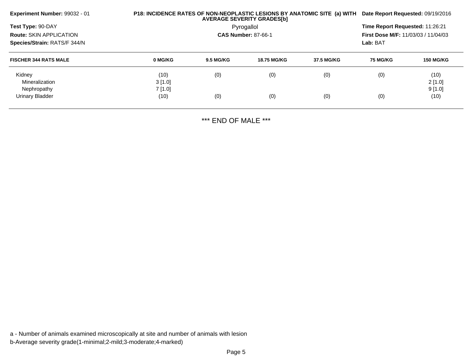| <b>Experiment Number: 99032 - 01</b><br>Test Type: 90-DAY |                |                                          | <b>AVERAGE SEVERITY GRADES[b]</b> | P18: INCIDENCE RATES OF NON-NEOPLASTIC LESIONS BY ANATOMIC SITE (a) WITH | Date Report Requested: 09/19/2016<br>Time Report Requested: 11:26:21 |                   |  |
|-----------------------------------------------------------|----------------|------------------------------------------|-----------------------------------|--------------------------------------------------------------------------|----------------------------------------------------------------------|-------------------|--|
| Route: SKIN APPLICATION<br>Species/Strain: RATS/F 344/N   |                | Pyrogallol<br><b>CAS Number: 87-66-1</b> |                                   |                                                                          |                                                                      |                   |  |
| <b>FISCHER 344 RATS MALE</b>                              | 0 MG/KG        | <b>9.5 MG/KG</b>                         | <b>18.75 MG/KG</b>                | 37.5 MG/KG                                                               | <b>75 MG/KG</b>                                                      | <b>150 MG/KG</b>  |  |
| Kidney<br>Mineralization                                  | (10)<br>3[1.0] | (0)                                      | (0)                               | (0)                                                                      | (0)                                                                  | (10)<br>$2$ [1.0] |  |
| Nephropathy<br><b>Urinary Bladder</b>                     | 7[1.0]<br>(10) | (0)                                      | (0)                               | (0)                                                                      | (0)                                                                  | 9[1.0]<br>(10)    |  |

\*\*\* END OF MALE \*\*\*

a - Number of animals examined microscopically at site and number of animals with lesionb-Average severity grade(1-minimal;2-mild;3-moderate;4-marked)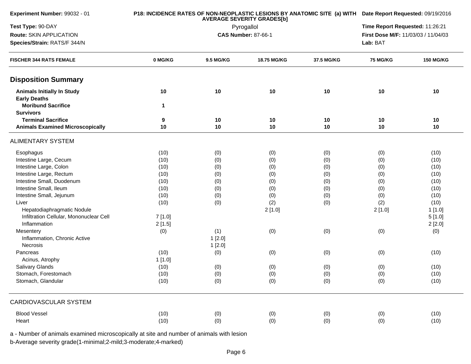| Experiment Number: 99032 - 01                            |         | <b>AVERAGE SEVERITY GRADES[b]</b> |                            |                                                                                                                                                                                                                                                                                                |                                 |        |  |  |  |
|----------------------------------------------------------|---------|-----------------------------------|----------------------------|------------------------------------------------------------------------------------------------------------------------------------------------------------------------------------------------------------------------------------------------------------------------------------------------|---------------------------------|--------|--|--|--|
| Test Type: 90-DAY                                        |         |                                   | Pyrogallol                 |                                                                                                                                                                                                                                                                                                | Time Report Requested: 11:26:21 |        |  |  |  |
| Route: SKIN APPLICATION                                  |         |                                   | <b>CAS Number: 87-66-1</b> |                                                                                                                                                                                                                                                                                                |                                 |        |  |  |  |
| Species/Strain: RATS/F 344/N                             |         |                                   |                            | P18: INCIDENCE RATES OF NON-NEOPLASTIC LESIONS BY ANATOMIC SITE (a) WITH Date Report Requested: 09/19/2016<br>First Dose M/F: 11/03/03 / 11/04/03<br>Lab: BAT<br>37.5 MG/KG<br><b>75 MG/KG</b><br><b>150 MG/KG</b><br>10<br>10<br>10<br>10<br>10<br>10<br>10<br>10<br>10<br>(0)<br>(10)<br>(0) |                                 |        |  |  |  |
|                                                          |         |                                   |                            |                                                                                                                                                                                                                                                                                                |                                 |        |  |  |  |
| <b>FISCHER 344 RATS FEMALE</b>                           | 0 MG/KG | 9.5 MG/KG                         | 18.75 MG/KG                |                                                                                                                                                                                                                                                                                                |                                 |        |  |  |  |
| <b>Disposition Summary</b>                               |         |                                   |                            |                                                                                                                                                                                                                                                                                                |                                 |        |  |  |  |
| <b>Animals Initially In Study</b><br><b>Early Deaths</b> | 10      | 10                                | 10                         |                                                                                                                                                                                                                                                                                                |                                 |        |  |  |  |
| <b>Moribund Sacrifice</b><br><b>Survivors</b>            | 1       |                                   |                            |                                                                                                                                                                                                                                                                                                |                                 |        |  |  |  |
| <b>Terminal Sacrifice</b>                                | 9       | 10                                | 10                         |                                                                                                                                                                                                                                                                                                |                                 |        |  |  |  |
| <b>Animals Examined Microscopically</b>                  | 10      | 10                                | 10                         |                                                                                                                                                                                                                                                                                                |                                 |        |  |  |  |
| <b>ALIMENTARY SYSTEM</b>                                 |         |                                   |                            |                                                                                                                                                                                                                                                                                                |                                 |        |  |  |  |
| Esophagus                                                | (10)    | (0)                               | (0)                        |                                                                                                                                                                                                                                                                                                |                                 |        |  |  |  |
| Intestine Large, Cecum                                   | (10)    | (0)                               | (0)                        | (0)                                                                                                                                                                                                                                                                                            | (0)                             | (10)   |  |  |  |
| Intestine Large, Colon                                   | (10)    | (0)                               | (0)                        | (0)                                                                                                                                                                                                                                                                                            | (0)                             | (10)   |  |  |  |
| Intestine Large, Rectum                                  | (10)    | (0)                               | (0)                        | (0)                                                                                                                                                                                                                                                                                            | (0)                             | (10)   |  |  |  |
| Intestine Small, Duodenum                                | (10)    | (0)                               | (0)                        | (0)                                                                                                                                                                                                                                                                                            | (0)                             | (10)   |  |  |  |
| Intestine Small, Ileum                                   | (10)    | (0)                               | (0)                        | (0)                                                                                                                                                                                                                                                                                            | (0)                             | (10)   |  |  |  |
| Intestine Small, Jejunum                                 | (10)    | (0)                               | (0)                        | (0)                                                                                                                                                                                                                                                                                            | (0)                             | (10)   |  |  |  |
| Liver                                                    | (10)    | (0)                               | (2)                        | (0)                                                                                                                                                                                                                                                                                            | (2)                             | (10)   |  |  |  |
| Hepatodiaphragmatic Nodule                               |         |                                   | 2[1.0]                     |                                                                                                                                                                                                                                                                                                | 2[1.0]                          | 1[1.0] |  |  |  |
| Infiltration Cellular, Mononuclear Cell                  | 7[1.0]  |                                   |                            |                                                                                                                                                                                                                                                                                                |                                 | 5[1.0] |  |  |  |
| Inflammation                                             | 2[1.5]  |                                   |                            |                                                                                                                                                                                                                                                                                                |                                 | 2[2.0] |  |  |  |
| Mesentery                                                | (0)     | (1)                               | (0)                        | (0)                                                                                                                                                                                                                                                                                            | (0)                             | (0)    |  |  |  |
| Inflammation, Chronic Active                             |         | 1[2.0]                            |                            |                                                                                                                                                                                                                                                                                                |                                 |        |  |  |  |
| Necrosis                                                 |         | 1[2.0]                            |                            |                                                                                                                                                                                                                                                                                                |                                 |        |  |  |  |
| Pancreas                                                 | (10)    | (0)                               | (0)                        | (0)                                                                                                                                                                                                                                                                                            | (0)                             | (10)   |  |  |  |
| Acinus, Atrophy                                          | 1[1.0]  |                                   |                            |                                                                                                                                                                                                                                                                                                |                                 |        |  |  |  |
| Salivary Glands                                          | (10)    | (0)                               | (0)                        | (0)                                                                                                                                                                                                                                                                                            | (0)                             | (10)   |  |  |  |
| Stomach, Forestomach                                     | (10)    | (0)                               | (0)                        | (0)                                                                                                                                                                                                                                                                                            | (0)                             | (10)   |  |  |  |
| Stomach, Glandular                                       | (10)    | (0)                               | (0)                        | (0)                                                                                                                                                                                                                                                                                            | (0)                             | (10)   |  |  |  |
|                                                          |         |                                   |                            |                                                                                                                                                                                                                                                                                                |                                 |        |  |  |  |
| <b>CARDIOVASCULAR SYSTEM</b>                             |         |                                   |                            |                                                                                                                                                                                                                                                                                                |                                 |        |  |  |  |
| <b>Blood Vessel</b>                                      | (10)    | (0)                               | (0)                        | (0)                                                                                                                                                                                                                                                                                            | (0)                             | (10)   |  |  |  |
| Heart                                                    | (10)    | (0)                               | (0)                        | (0)                                                                                                                                                                                                                                                                                            | (0)                             | (10)   |  |  |  |
|                                                          |         |                                   |                            |                                                                                                                                                                                                                                                                                                |                                 |        |  |  |  |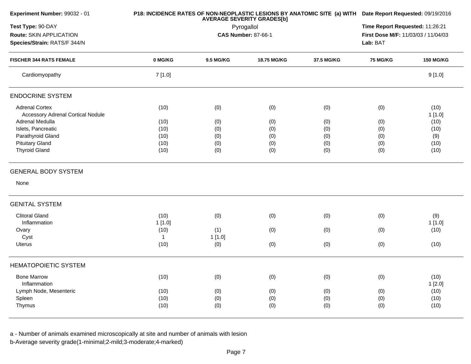| Experiment Number: 99032 - 01            |              | <b>AVERAGE SEVERITY GRADES[b]</b> | P18: INCIDENCE RATES OF NON-NEOPLASTIC LESIONS BY ANATOMIC SITE (a) WITH Date Report Requested: 09/19/2016 |                                     |                 |                  |
|------------------------------------------|--------------|-----------------------------------|------------------------------------------------------------------------------------------------------------|-------------------------------------|-----------------|------------------|
| Test Type: 90-DAY                        |              | Pyrogallol                        |                                                                                                            | Time Report Requested: 11:26:21     |                 |                  |
| Route: SKIN APPLICATION                  |              |                                   | <b>CAS Number: 87-66-1</b>                                                                                 | First Dose M/F: 11/03/03 / 11/04/03 |                 |                  |
| Species/Strain: RATS/F 344/N             |              |                                   |                                                                                                            |                                     |                 |                  |
| <b>FISCHER 344 RATS FEMALE</b>           | 0 MG/KG      | 9.5 MG/KG                         | 18.75 MG/KG                                                                                                | 37.5 MG/KG                          | <b>75 MG/KG</b> | <b>150 MG/KG</b> |
| Cardiomyopathy                           | 7[1.0]       |                                   |                                                                                                            |                                     |                 | 9[1.0]           |
| <b>ENDOCRINE SYSTEM</b>                  |              |                                   |                                                                                                            |                                     |                 |                  |
| <b>Adrenal Cortex</b>                    | (10)         | (0)                               | (0)                                                                                                        | (0)                                 | (0)             | (10)             |
| <b>Accessory Adrenal Cortical Nodule</b> |              |                                   |                                                                                                            |                                     |                 | 1[1.0]           |
| Adrenal Medulla                          | (10)         | (0)                               | (0)                                                                                                        | (0)                                 | (0)             | (10)             |
| Islets, Pancreatic                       | (10)         | (0)                               | (0)                                                                                                        | (0)                                 | (0)             | (10)             |
| Parathyroid Gland                        | (10)         | (0)                               | (0)                                                                                                        | (0)                                 | (0)             | (9)              |
| <b>Pituitary Gland</b>                   | (10)         | (0)                               | (0)                                                                                                        | (0)                                 | (0)             | (10)             |
| <b>Thyroid Gland</b>                     | (10)         | (0)                               | (0)                                                                                                        | (0)                                 | (0)             | (10)             |
| <b>GENERAL BODY SYSTEM</b>               |              |                                   |                                                                                                            |                                     |                 |                  |
| None                                     |              |                                   |                                                                                                            |                                     |                 |                  |
| <b>GENITAL SYSTEM</b>                    |              |                                   |                                                                                                            |                                     |                 |                  |
| <b>Clitoral Gland</b>                    | (10)         | (0)                               | (0)                                                                                                        | (0)                                 | (0)             | (9)              |
| Inflammation                             | 1[1.0]       |                                   |                                                                                                            |                                     |                 | 1[1.0]           |
| Ovary                                    | (10)         | (1)                               | (0)                                                                                                        | (0)                                 | (0)             | (10)             |
| Cyst                                     | $\mathbf{1}$ | 1[1.0]                            |                                                                                                            |                                     |                 |                  |
| <b>Uterus</b>                            | (10)         | (0)                               | (0)                                                                                                        | (0)                                 | (0)             | (10)             |
| <b>HEMATOPOIETIC SYSTEM</b>              |              |                                   |                                                                                                            |                                     |                 |                  |
| <b>Bone Marrow</b>                       | (10)         | (0)                               | (0)                                                                                                        | (0)                                 | (0)             | (10)             |
| Inflammation                             |              |                                   |                                                                                                            |                                     |                 | 1[2.0]           |
| Lymph Node, Mesenteric                   | (10)         |                                   | (0)                                                                                                        | (0)                                 | (0)             | (10)             |
|                                          | (10)         | (0)                               |                                                                                                            |                                     |                 |                  |
| Spleen<br>Thymus                         | (10)         | (0)                               | (0)                                                                                                        | (0)                                 | (0)             | (10)             |
|                                          |              | (0)                               | (0)                                                                                                        | (0)                                 | (0)             | (10)             |
|                                          |              |                                   |                                                                                                            |                                     |                 |                  |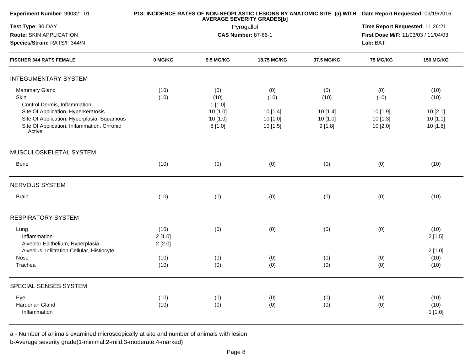| Experiment Number: 99032 - 01                                                                                                             |                          | <b>AVERAGE SEVERITY GRADES[b]</b> | P18: INCIDENCE RATES OF NON-NEOPLASTIC LESIONS BY ANATOMIC SITE (a) WITH Date Report Requested: 09/19/2016 |                                 |                                     |                                |
|-------------------------------------------------------------------------------------------------------------------------------------------|--------------------------|-----------------------------------|------------------------------------------------------------------------------------------------------------|---------------------------------|-------------------------------------|--------------------------------|
| Test Type: 90-DAY                                                                                                                         |                          | Pyrogallol                        |                                                                                                            | Time Report Requested: 11:26:21 |                                     |                                |
| Route: SKIN APPLICATION                                                                                                                   |                          |                                   | <b>CAS Number: 87-66-1</b>                                                                                 |                                 | First Dose M/F: 11/03/03 / 11/04/03 |                                |
| Species/Strain: RATS/F 344/N                                                                                                              |                          |                                   |                                                                                                            | Lab: BAT                        |                                     |                                |
| <b>FISCHER 344 RATS FEMALE</b>                                                                                                            | 0 MG/KG                  | <b>9.5 MG/KG</b>                  | 18.75 MG/KG                                                                                                | 37.5 MG/KG                      | <b>75 MG/KG</b>                     | <b>150 MG/KG</b>               |
| <b>INTEGUMENTARY SYSTEM</b>                                                                                                               |                          |                                   |                                                                                                            |                                 |                                     |                                |
| Mammary Gland<br>Skin<br>Control Dermis, Inflammation                                                                                     | (10)<br>(10)             | (0)<br>(10)<br>1[1.0]             | (0)<br>(10)                                                                                                | (0)<br>(10)                     | (0)<br>(10)                         | (10)<br>(10)                   |
| Site Of Application, Hyperkeratosis<br>Site Of Application, Hyperplasia, Squamous<br>Site Of Application, Inflammation, Chronic<br>Active |                          | 10 [1.0]<br>10 [1.0]<br>8[1.0]    | 10 [1.4]<br>10[1.0]<br>10 [1.5]                                                                            | 10 [1.4]<br>10 [1.0]<br>9[1.8]  | 10 [1.9]<br>10 [1.3]<br>10 [2.0]    | 10[2.1]<br>10[1.1]<br>10 [1.8] |
| MUSCULOSKELETAL SYSTEM                                                                                                                    |                          |                                   |                                                                                                            |                                 |                                     |                                |
| <b>Bone</b>                                                                                                                               | (10)                     | (0)                               | (0)                                                                                                        | (0)                             | (0)                                 | (10)                           |
| NERVOUS SYSTEM                                                                                                                            |                          |                                   |                                                                                                            |                                 |                                     |                                |
| <b>Brain</b>                                                                                                                              | (10)                     | (0)                               | (0)                                                                                                        | (0)                             | (0)                                 | (10)                           |
| <b>RESPIRATORY SYSTEM</b>                                                                                                                 |                          |                                   |                                                                                                            |                                 |                                     |                                |
| Lung<br>Inflammation<br>Alveolar Epithelium, Hyperplasia                                                                                  | (10)<br>2[1.0]<br>2[2.0] | (0)                               | (0)                                                                                                        | (0)                             | (0)                                 | (10)<br>2[1.5]                 |
| Alveolus, Infiltration Cellular, Histiocyte<br>Nose                                                                                       | (10)                     | (0)                               | (0)                                                                                                        | (0)                             | (0)                                 | 2[1.0]<br>(10)                 |
| Trachea                                                                                                                                   | (10)                     | (0)                               | (0)                                                                                                        | (0)                             | (0)                                 | (10)                           |
| SPECIAL SENSES SYSTEM                                                                                                                     |                          |                                   |                                                                                                            |                                 |                                     |                                |
| Eye<br>Harderian Gland<br>Inflammation                                                                                                    | (10)<br>(10)             | (0)<br>(0)                        | (0)<br>(0)                                                                                                 | (0)<br>(0)                      | (0)<br>(0)                          | (10)<br>(10)<br>1[1.0]         |